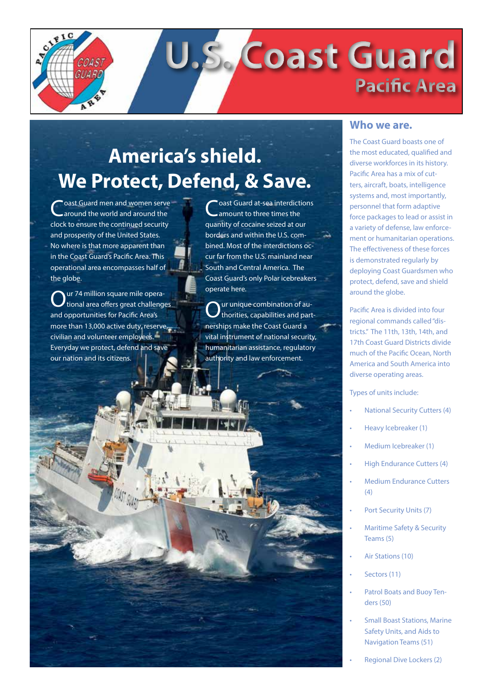

# **America's shield. We Protect, Defend, & Save.**

oast Guard men and women serve around the world and around the clock to ensure the continued security and prosperity of the United States. No where is that more apparent than in the Coast Guard's Pacific Area. This operational area encompasses half of the globe.

ur 74 million square mile operational area offers great challenges and opportunities for Pacific Area's more than 13,000 active duty, reserve, civilian and volunteer employees. Everyday we protect, defend and save our nation and its citizens.

**Toast Guard at-sea interdictions** amount to three times the quantity of cocaine seized at our borders and within the U.S. combined. Most of the interdictions occur far from the U.S. mainland near South and Central America. The Coast Guard's only Polar icebreakers operate here.

 ${\mathbf O}$ ur unique combination of au-<br>thorities, capabilities and partnerships make the Coast Guard a vital instrument of national security, humanitarian assistance, regulatory authority and law enforcement.

#### **Who we are.**

The Coast Guard boasts one of the most educated, qualified and diverse workforces in its history. Pacific Area has a mix of cutters, aircraft, boats, intelligence systems and, most importantly, personnel that form adaptive force packages to lead or assist in a variety of defense, law enforcement or humanitarian operations. The effectiveness of these forces is demonstrated regularly by deploying Coast Guardsmen who protect, defend, save and shield around the globe.

Pacific Area is divided into four regional commands called "districts." The 11th, 13th, 14th, and 17th Coast Guard Districts divide much of the Pacific Ocean, North America and South America into diverse operating areas.

Types of units include:

- National Security Cutters (4)
- Heavy Icebreaker (1)
- Medium Icebreaker (1)
- **High Endurance Cutters (4)**
- **Medium Endurance Cutters**  $(4)$
- Port Security Units (7)
- **Maritime Safety & Security** Teams (5)
- Air Stations (10)
- Sectors (11)
- Patrol Boats and Buoy Tenders (50)
- **Small Boast Stations, Marine** Safety Units, and Aids to Navigation Teams (51)
- Regional Dive Lockers (2)